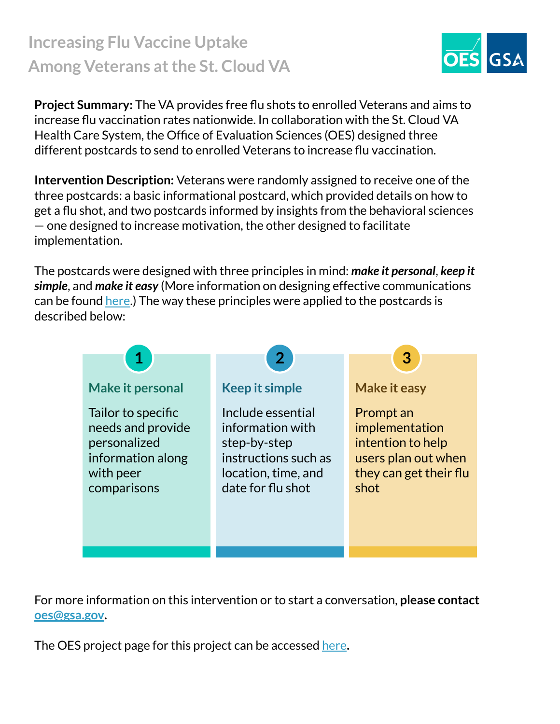## **Increasing Flu Vaccine Uptake Among Veterans at the St. Cloud VA**

**Project Summary:** The VA provides free flu shots to enrolled Veterans and aims to increase flu vaccination rates nationwide. In collaboration with the St. Cloud VA Health Care System, the Office of Evaluation Sciences (OES) designed three different postcards to send to enrolled Veterans to increase flu vaccination.

**Intervention Description:** Veterans were randomly assigned to receive one of the three postcards: a basic informational postcard, which provided details on how to get a flu shot, and two postcards informed by insights from the behavioral sciences — one designed to increase motivation, the other designed to facilitate implementation.

The postcards were designed with three principles in mind: *make it personal*, *keep it simple*, and *make it easy* (More information on designing effective communications can be found [here](https://oes.gsa.gov/assets/abstracts/OES%20Learnings%20on%20Writing%20Better%20Communications%202018.pdf).) The way these principles were applied to the postcards is described below:



For more information on this intervention or to start a conversation, **please contact [oes@gsa.gov](mailto:oes@gsa.gov).**

The OES project page for this project can be accessed [here](https://oes.gsa.gov/projects/flu-shots-va-st-cloud/)**.**

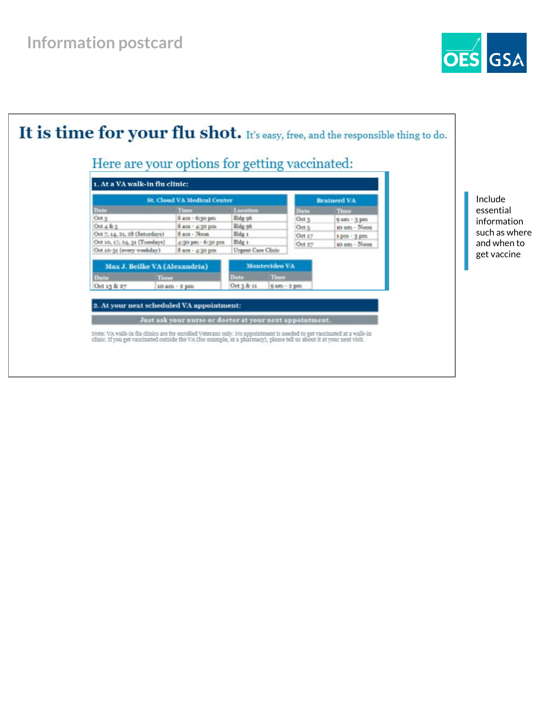

Include essential information such as where and when to get vaccine

**OES** GSA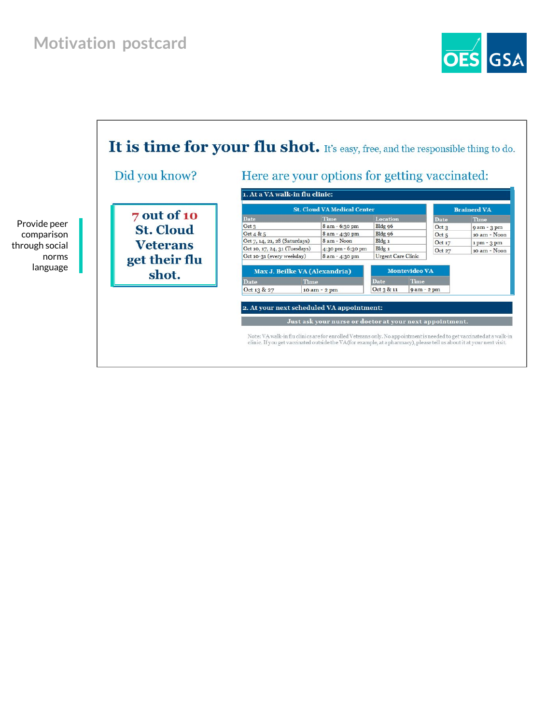